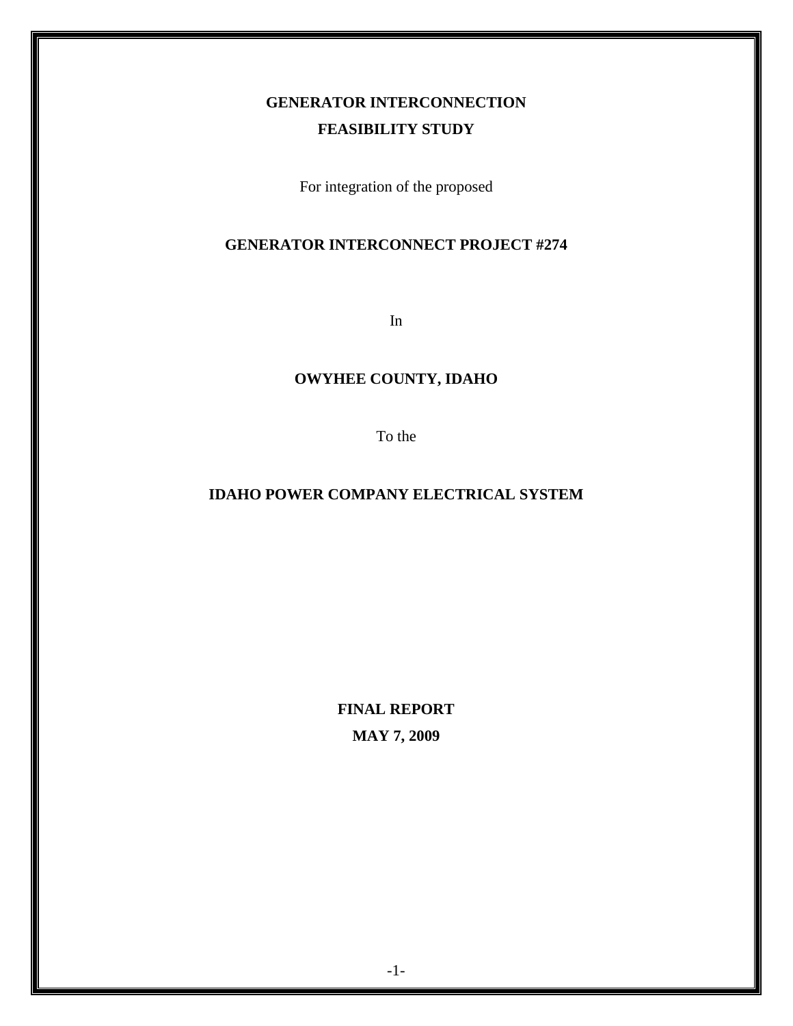# **GENERATOR INTERCONNECTION FEASIBILITY STUDY**

For integration of the proposed

## **GENERATOR INTERCONNECT PROJECT #274**

In

## **OWYHEE COUNTY, IDAHO**

To the

## **IDAHO POWER COMPANY ELECTRICAL SYSTEM**

**FINAL REPORT MAY 7, 2009**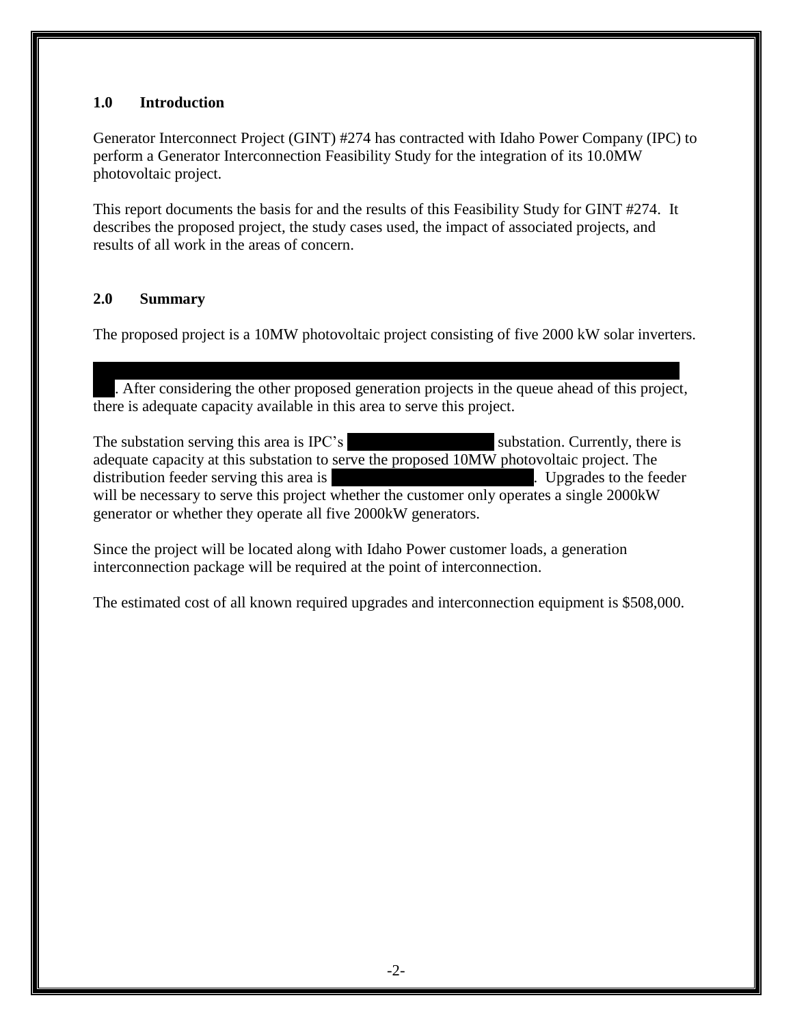#### **1.0 Introduction**

Generator Interconnect Project (GINT) #274 has contracted with Idaho Power Company (IPC) to perform a Generator Interconnection Feasibility Study for the integration of its 10.0MW photovoltaic project.

This report documents the basis for and the results of this Feasibility Study for GINT #274. It describes the proposed project, the study cases used, the impact of associated projects, and results of all work in the areas of concern.

### **2.0 Summary**

The proposed project is a 10MW photovoltaic project consisting of five 2000 kW solar inverters.

Two IPC transmission lines are each located within proximity of the proposed interconnection  $\mathcal{L}_\mathcal{A}$ . After considering the other proposed generation projects in the queue ahead of this project, there is adequate capacity available in this area to serve this project.

The substation serving this area is IPC's substation. Currently, there is adequate capacity at this substation to serve the proposed 10MW photovoltaic project. The distribution feeder serving this area is Canyon Creek 1 (Canadian Creek of the feeder of  $\overline{C}$ ). Upgrades to the feeder will be necessary to serve this project whether the customer only operates a single 2000kW generator or whether they operate all five 2000kW generators.

Since the project will be located along with Idaho Power customer loads, a generation interconnection package will be required at the point of interconnection.

The estimated cost of all known required upgrades and interconnection equipment is \$508,000.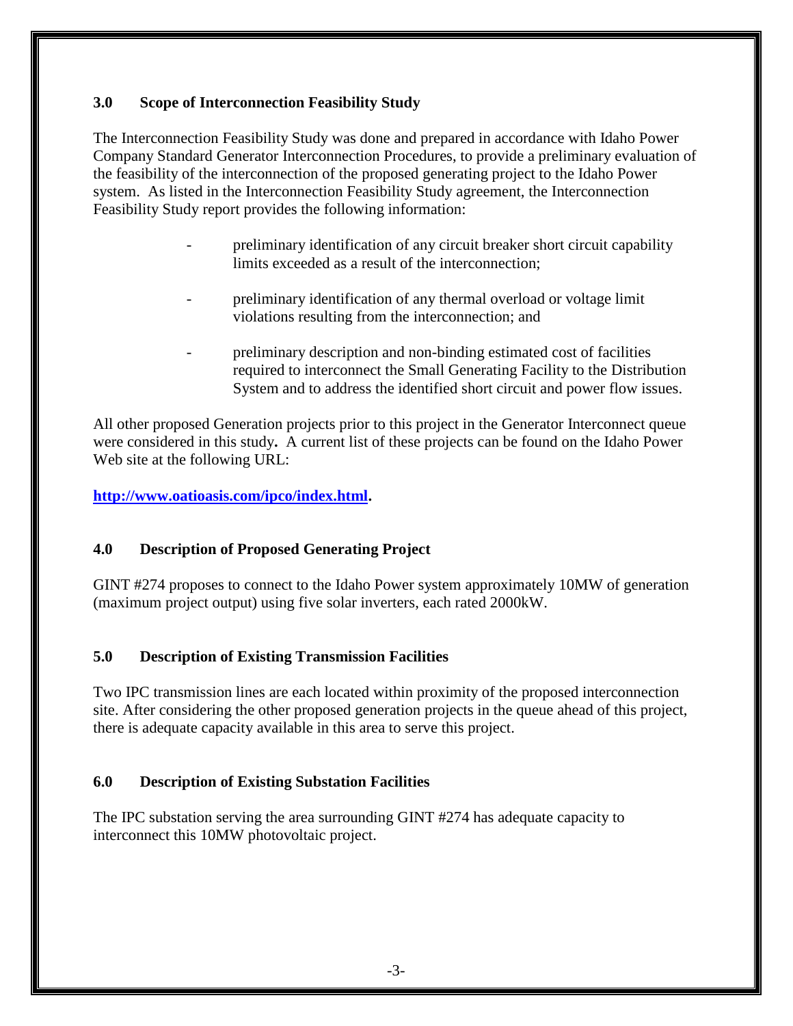### **3.0 Scope of Interconnection Feasibility Study**

The Interconnection Feasibility Study was done and prepared in accordance with Idaho Power Company Standard Generator Interconnection Procedures, to provide a preliminary evaluation of the feasibility of the interconnection of the proposed generating project to the Idaho Power system. As listed in the Interconnection Feasibility Study agreement, the Interconnection Feasibility Study report provides the following information:

- preliminary identification of any circuit breaker short circuit capability limits exceeded as a result of the interconnection;
- preliminary identification of any thermal overload or voltage limit violations resulting from the interconnection; and
- preliminary description and non-binding estimated cost of facilities required to interconnect the Small Generating Facility to the Distribution System and to address the identified short circuit and power flow issues.

All other proposed Generation projects prior to this project in the Generator Interconnect queue were considered in this study**.** A current list of these projects can be found on the Idaho Power Web site at the following URL:

**[http://www.oatioasis.com/ipco/index.html.](http://www.oatioasis.com/ipco/index.html)**

## **4.0 Description of Proposed Generating Project**

GINT #274 proposes to connect to the Idaho Power system approximately 10MW of generation (maximum project output) using five solar inverters, each rated 2000kW.

## **5.0 Description of Existing Transmission Facilities**

Two IPC transmission lines are each located within proximity of the proposed interconnection site. After considering the other proposed generation projects in the queue ahead of this project, there is adequate capacity available in this area to serve this project.

### **6.0 Description of Existing Substation Facilities**

The IPC substation serving the area surrounding GINT #274 has adequate capacity to interconnect this 10MW photovoltaic project.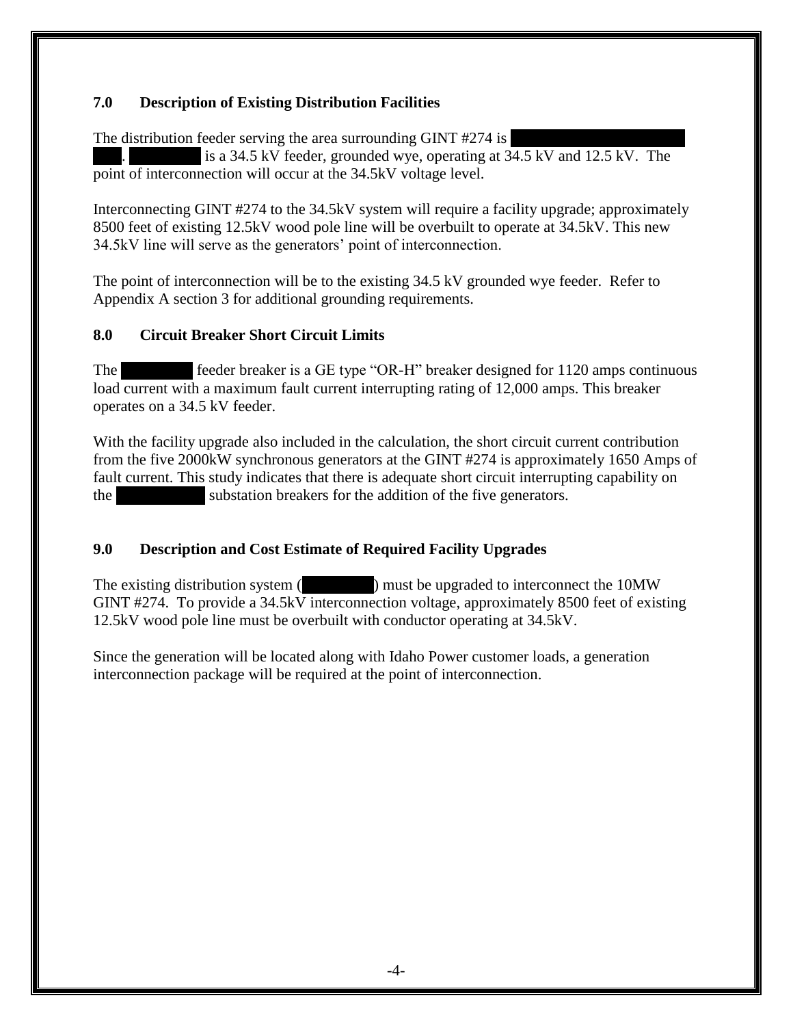## **7.0 Description of Existing Distribution Facilities**

The distribution feeder serving the area surrounding GINT  $#274$  is

is a 34.5 kV feeder, grounded wye, operating at  $34.5$  kV and  $12.5$  kV. The point of interconnection will occur at the 34.5kV voltage level.

Interconnecting GINT #274 to the 34.5kV system will require a facility upgrade; approximately 8500 feet of existing 12.5kV wood pole line will be overbuilt to operate at 34.5kV. This new 34.5kV line will serve as the generators' point of interconnection.

The point of interconnection will be to the existing 34.5 kV grounded wye feeder. Refer to Appendix A section 3 for additional grounding requirements.

### **8.0 Circuit Breaker Short Circuit Limits**

The feeder breaker is a GE type "OR-H" breaker designed for 1120 amps continuous load current with a maximum fault current interrupting rating of 12,000 amps. This breaker operates on a 34.5 kV feeder.

With the facility upgrade also included in the calculation, the short circuit current contribution from the five 2000kW synchronous generators at the GINT #274 is approximately 1650 Amps of fault current. This study indicates that there is adequate short circuit interrupting capability on the cannot constant substation breakers for the addition of the five generators.

## **9.0 Description and Cost Estimate of Required Facility Upgrades**

The existing distribution system  $($  and  $)$  must be upgraded to interconnect the 10MW GINT #274. To provide a 34.5kV interconnection voltage, approximately 8500 feet of existing 12.5kV wood pole line must be overbuilt with conductor operating at 34.5kV.

Since the generation will be located along with Idaho Power customer loads, a generation interconnection package will be required at the point of interconnection.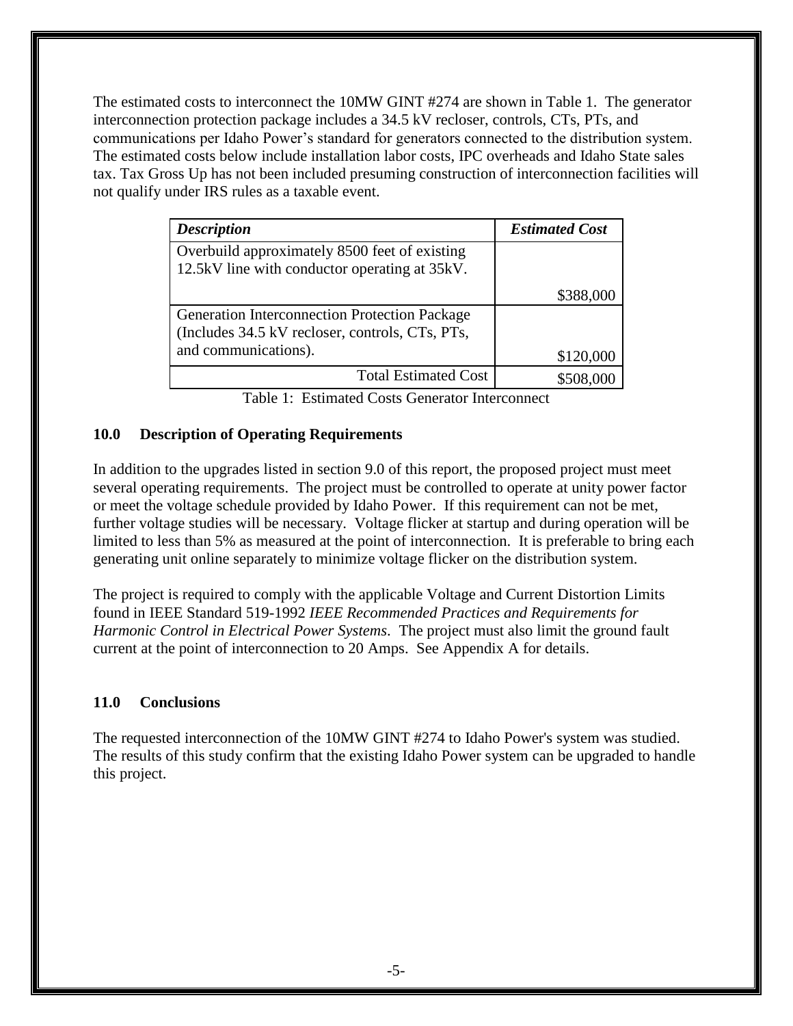The estimated costs to interconnect the 10MW GINT #274 are shown in Table 1. The generator interconnection protection package includes a 34.5 kV recloser, controls, CTs, PTs, and communications per Idaho Power's standard for generators connected to the distribution system. The estimated costs below include installation labor costs, IPC overheads and Idaho State sales tax. Tax Gross Up has not been included presuming construction of interconnection facilities will not qualify under IRS rules as a taxable event.

| <b>Description</b>                                                                             | <b>Estimated Cost</b> |
|------------------------------------------------------------------------------------------------|-----------------------|
| Overbuild approximately 8500 feet of existing<br>12.5kV line with conductor operating at 35kV. |                       |
|                                                                                                | \$388,000             |
| <b>Generation Interconnection Protection Package</b>                                           |                       |
| (Includes 34.5 kV recloser, controls, CTs, PTs,                                                |                       |
| and communications).                                                                           | \$120,000             |
| <b>Total Estimated Cost</b>                                                                    | \$508,000             |

Table 1: Estimated Costs Generator Interconnect

## **10.0 Description of Operating Requirements**

In addition to the upgrades listed in section 9.0 of this report, the proposed project must meet several operating requirements. The project must be controlled to operate at unity power factor or meet the voltage schedule provided by Idaho Power. If this requirement can not be met, further voltage studies will be necessary. Voltage flicker at startup and during operation will be limited to less than 5% as measured at the point of interconnection. It is preferable to bring each generating unit online separately to minimize voltage flicker on the distribution system.

The project is required to comply with the applicable Voltage and Current Distortion Limits found in IEEE Standard 519-1992 *IEEE Recommended Practices and Requirements for Harmonic Control in Electrical Power Systems*. The project must also limit the ground fault current at the point of interconnection to 20 Amps. See Appendix A for details.

### **11.0 Conclusions**

The requested interconnection of the 10MW GINT #274 to Idaho Power's system was studied. The results of this study confirm that the existing Idaho Power system can be upgraded to handle this project.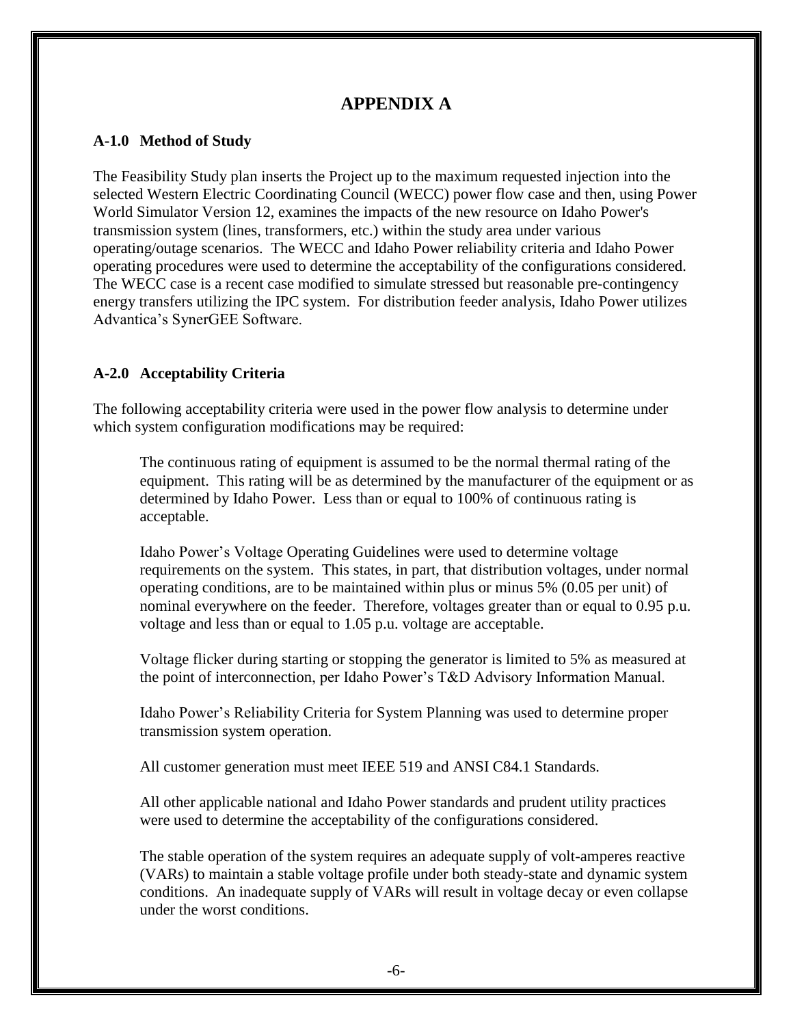# **APPENDIX A**

#### **A-1.0 Method of Study**

The Feasibility Study plan inserts the Project up to the maximum requested injection into the selected Western Electric Coordinating Council (WECC) power flow case and then, using Power World Simulator Version 12, examines the impacts of the new resource on Idaho Power's transmission system (lines, transformers, etc.) within the study area under various operating/outage scenarios. The WECC and Idaho Power reliability criteria and Idaho Power operating procedures were used to determine the acceptability of the configurations considered. The WECC case is a recent case modified to simulate stressed but reasonable pre-contingency energy transfers utilizing the IPC system. For distribution feeder analysis, Idaho Power utilizes Advantica's SynerGEE Software.

#### **A-2.0 Acceptability Criteria**

The following acceptability criteria were used in the power flow analysis to determine under which system configuration modifications may be required:

The continuous rating of equipment is assumed to be the normal thermal rating of the equipment. This rating will be as determined by the manufacturer of the equipment or as determined by Idaho Power. Less than or equal to 100% of continuous rating is acceptable.

Idaho Power's Voltage Operating Guidelines were used to determine voltage requirements on the system. This states, in part, that distribution voltages, under normal operating conditions, are to be maintained within plus or minus 5% (0.05 per unit) of nominal everywhere on the feeder. Therefore, voltages greater than or equal to 0.95 p.u. voltage and less than or equal to 1.05 p.u. voltage are acceptable.

Voltage flicker during starting or stopping the generator is limited to 5% as measured at the point of interconnection, per Idaho Power's T&D Advisory Information Manual.

Idaho Power's Reliability Criteria for System Planning was used to determine proper transmission system operation.

All customer generation must meet IEEE 519 and ANSI C84.1 Standards.

All other applicable national and Idaho Power standards and prudent utility practices were used to determine the acceptability of the configurations considered.

The stable operation of the system requires an adequate supply of volt-amperes reactive (VARs) to maintain a stable voltage profile under both steady-state and dynamic system conditions. An inadequate supply of VARs will result in voltage decay or even collapse under the worst conditions.